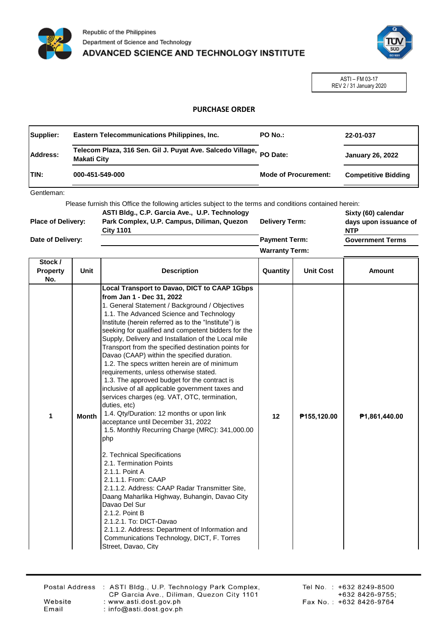



ASTI – FM 03-17 REV 2 / 31 January 2020

## **PURCHASE ORDER**

| Supplier: | Eastern Telecommunications Philippines, Inc.                                              | PO No.:                     | 22-01-037                  |
|-----------|-------------------------------------------------------------------------------------------|-----------------------------|----------------------------|
| Address:  | Telecom Plaza, 316 Sen. Gil J. Puyat Ave. Salcedo Village, PO Date:<br><b>Makati City</b> |                             | <b>January 26, 2022</b>    |
| ITIN:     | 000-451-549-000                                                                           | <b>Mode of Procurement:</b> | <b>Competitive Bidding</b> |

Gentleman:

Please furnish this Office the following articles subject to the terms and conditions contained herein:

| <b>Place of Delivery:</b> | ASTI Bldg., C.P. Garcia Ave., U.P. Technology<br>Park Complex, U.P. Campus, Diliman, Quezon<br><b>City 1101</b> | <b>Delivery Term:</b> | Sixty (60) calendar<br>days upon issuance of<br><b>NTP</b> |
|---------------------------|-----------------------------------------------------------------------------------------------------------------|-----------------------|------------------------------------------------------------|
| Date of Delivery:         |                                                                                                                 | <b>Payment Term:</b>  | <b>Government Terms</b>                                    |
|                           |                                                                                                                 | <b>Warranty Term:</b> |                                                            |

| Stock /<br><b>Property</b><br>No. | Unit         | <b>Description</b>                                                                                                                                                                                                                                                                                                                                                                                                                                                                                                                                                                                                                                                                                                                                                                                                                                                                                                                                                                                                                                                                                                                                                                                                                                         | Quantity | <b>Unit Cost</b> | <b>Amount</b> |
|-----------------------------------|--------------|------------------------------------------------------------------------------------------------------------------------------------------------------------------------------------------------------------------------------------------------------------------------------------------------------------------------------------------------------------------------------------------------------------------------------------------------------------------------------------------------------------------------------------------------------------------------------------------------------------------------------------------------------------------------------------------------------------------------------------------------------------------------------------------------------------------------------------------------------------------------------------------------------------------------------------------------------------------------------------------------------------------------------------------------------------------------------------------------------------------------------------------------------------------------------------------------------------------------------------------------------------|----------|------------------|---------------|
| 1                                 | <b>Month</b> | Local Transport to Davao, DICT to CAAP 1Gbps<br>from Jan 1 - Dec 31, 2022<br>1. General Statement / Background / Objectives<br>1.1. The Advanced Science and Technology<br>Institute (herein referred as to the "Institute") is<br>seeking for qualified and competent bidders for the<br>Supply, Delivery and Installation of the Local mile<br>Transport from the specified destination points for<br>Davao (CAAP) within the specified duration.<br>1.2. The specs written herein are of minimum<br>requirements, unless otherwise stated.<br>1.3. The approved budget for the contract is<br>inclusive of all applicable government taxes and<br>services charges (eg. VAT, OTC, termination,<br>duties, etc)<br>1.4. Qty/Duration: 12 months or upon link<br>acceptance until December 31, 2022<br>1.5. Monthly Recurring Charge (MRC): 341,000.00<br>php<br>2. Technical Specifications<br>2.1. Termination Points<br>2.1.1. Point A<br>2.1.1.1. From: CAAP<br>2.1.1.2. Address: CAAP Radar Transmitter Site,<br>Daang Maharlika Highway, Buhangin, Davao City<br>Davao Del Sur<br>2.1.2. Point B<br>2.1.2.1. To: DICT-Davao<br>2.1.1.2. Address: Department of Information and<br>Communications Technology, DICT, F. Torres<br>Street. Davao. Citv | 12       | P155,120.00      | P1.861,440.00 |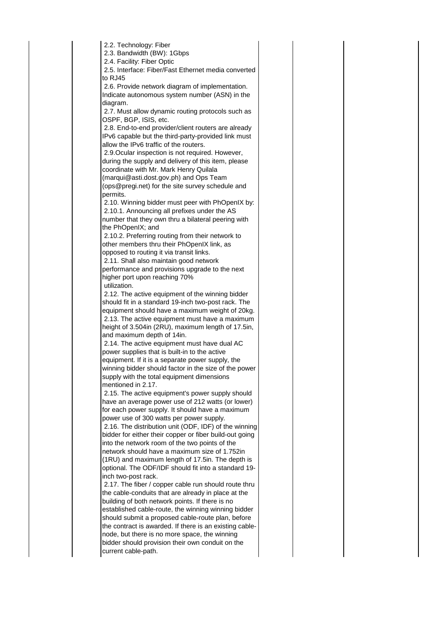| 2.2. Technology: Fiber                                  |  |
|---------------------------------------------------------|--|
| 2.3. Bandwidth (BW): 1Gbps                              |  |
| 2.4. Facility: Fiber Optic                              |  |
| 2.5. Interface: Fiber/Fast Ethernet media converted     |  |
| to RJ45                                                 |  |
| 2.6. Provide network diagram of implementation.         |  |
| Indicate autonomous system number (ASN) in the          |  |
| diagram.                                                |  |
| 2.7. Must allow dynamic routing protocols such as       |  |
| OSPF, BGP, ISIS, etc.                                   |  |
| 2.8. End-to-end provider/client routers are already     |  |
| IPv6 capable but the third-party-provided link must     |  |
| allow the IPv6 traffic of the routers.                  |  |
| 2.9. Ocular inspection is not required. However,        |  |
| during the supply and delivery of this item, please     |  |
| coordinate with Mr. Mark Henry Quilala                  |  |
| (marqui@asti.dost.gov.ph) and Ops Team                  |  |
|                                                         |  |
| (ops@pregi.net) for the site survey schedule and        |  |
| permits.                                                |  |
| 2.10. Winning bidder must peer with PhOpenIX by:        |  |
| 2.10.1. Announcing all prefixes under the AS            |  |
| number that they own thru a bilateral peering with      |  |
| the PhOpenIX; and                                       |  |
| 2.10.2. Preferring routing from their network to        |  |
| other members thru their PhOpenIX link, as              |  |
| opposed to routing it via transit links.                |  |
| 2.11. Shall also maintain good network                  |  |
| performance and provisions upgrade to the next          |  |
| higher port upon reaching 70%                           |  |
| utilization.                                            |  |
| 2.12. The active equipment of the winning bidder        |  |
| should fit in a standard 19-inch two-post rack. The     |  |
| equipment should have a maximum weight of 20kg.         |  |
| 2.13. The active equipment must have a maximum          |  |
| height of 3.504in (2RU), maximum length of 17.5in,      |  |
| and maximum depth of 14in.                              |  |
| 2.14. The active equipment must have dual AC            |  |
| power supplies that is built-in to the active           |  |
| equipment. If it is a separate power supply, the        |  |
| winning bidder should factor in the size of the power   |  |
| supply with the total equipment dimensions              |  |
| mentioned in 2.17.                                      |  |
| 2.15. The active equipment's power supply should        |  |
| have an average power use of 212 watts (or lower)       |  |
| for each power supply. It should have a maximum         |  |
| power use of 300 watts per power supply.                |  |
| 2.16. The distribution unit (ODF, IDF) of the winning   |  |
| bidder for either their copper or fiber build-out going |  |
| into the network room of the two points of the          |  |
| network should have a maximum size of 1.752in           |  |
| (1RU) and maximum length of 17.5in. The depth is        |  |
| optional. The ODF/IDF should fit into a standard 19-    |  |
| inch two-post rack.                                     |  |
| 2.17. The fiber / copper cable run should route thru    |  |
| the cable-conduits that are already in place at the     |  |
| building of both network points. If there is no         |  |
| established cable-route, the winning winning bidder     |  |
| should submit a proposed cable-route plan, before       |  |
| the contract is awarded. If there is an existing cable- |  |
| node, but there is no more space, the winning           |  |
| bidder should provision their own conduit on the        |  |
| current cable-path.                                     |  |
|                                                         |  |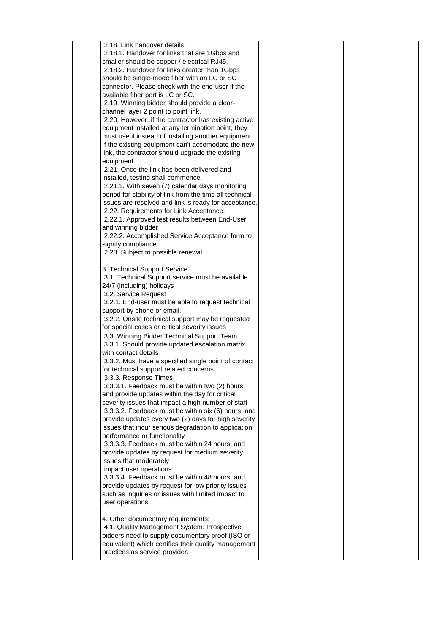| 2.18. Link handover details:<br>2.18.1. Handover for links that are 1Gbps and<br>smaller should be copper / electrical RJ45.<br>2.18.2. Handover for links greater than 1Gbps<br>should be single-mode fiber with an LC or SC<br>connector. Please check with the end-user if the<br>available fiber port is LC or SC.<br>2.19. Winning bidder should provide a clear-<br>channel layer 2 point to point link.<br>2.20. However, if the contractor has existing active<br>equipment installed at any termination point, they<br>must use it instead of installing another equipment.<br>If the existing equipment can't accomodate the new<br>link, the contractor should upgrade the existing<br>equipment<br>2.21. Once the link has been delivered and<br>installed, testing shall commence.<br>2.21.1. With seven (7) calendar days monitoring<br>period for stability of link from the time all technical<br>issues are resolved and link is ready for acceptance.<br>2.22. Requirements for Link Acceptance:<br>2.22.1. Approved test results between End-User<br>and winning bidder<br>2.22.2. Accomplished Service Acceptance form to<br>signify compliance<br>2.23. Subject to possible renewal                                                                                      |  |
|-----------------------------------------------------------------------------------------------------------------------------------------------------------------------------------------------------------------------------------------------------------------------------------------------------------------------------------------------------------------------------------------------------------------------------------------------------------------------------------------------------------------------------------------------------------------------------------------------------------------------------------------------------------------------------------------------------------------------------------------------------------------------------------------------------------------------------------------------------------------------------------------------------------------------------------------------------------------------------------------------------------------------------------------------------------------------------------------------------------------------------------------------------------------------------------------------------------------------------------------------------------------------------------------------|--|
| 3. Technical Support Service<br>3.1. Technical Support service must be available<br>24/7 (including) holidays<br>3.2. Service Request<br>3.2.1. End-user must be able to request technical<br>support by phone or email.<br>3.2.2. Onsite technical support may be requested<br>for special cases or critical severity issues<br>3.3. Winning Bidder Technical Support Team<br>3.3.1. Should provide updated escalation matrix<br>with contact details<br>3.3.2. Must have a specified single point of contact<br>for technical support related concerns<br>3.3.3. Response Times<br>3.3.3.1. Feedback must be within two (2) hours,<br>and provide updates within the day for critical<br>severity issues that impact a high number of staff<br>3.3.3.2. Feedback must be within six (6) hours, and<br>provide updates every two (2) days for high severity<br>issues that incur serious degradation to application<br>performance or functionality<br>3.3.3.3. Feedback must be within 24 hours, and<br>provide updates by request for medium severity<br>issues that moderately<br>impact user operations<br>3.3.3.4. Feedback must be within 48 hours, and<br>provide updates by request for low priority issues<br>such as inquiries or issues with limited impact to<br>user operations |  |
| 4. Other documentary requirements:<br>4.1. Quality Management System: Prospective<br>bidders need to supply documentary proof (ISO or<br>equivalent) which certifies their quality management<br>practices as service provider.                                                                                                                                                                                                                                                                                                                                                                                                                                                                                                                                                                                                                                                                                                                                                                                                                                                                                                                                                                                                                                                               |  |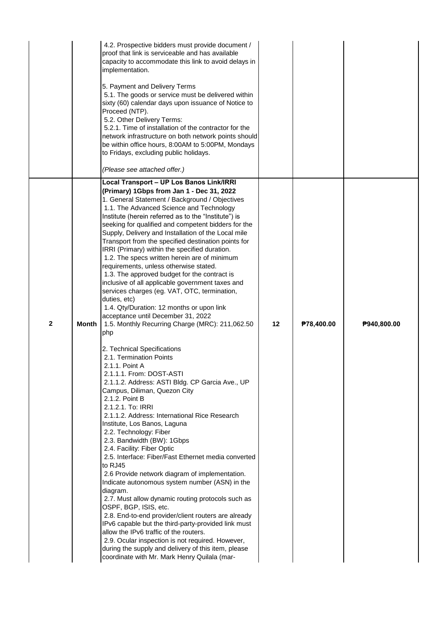|              |       | 4.2. Prospective bidders must provide document /<br>proof that link is serviceable and has available<br>capacity to accommodate this link to avoid delays in<br>implementation.<br>5. Payment and Delivery Terms<br>5.1. The goods or service must be delivered within<br>sixty (60) calendar days upon issuance of Notice to<br>Proceed (NTP).<br>5.2. Other Delivery Terms:<br>5.2.1. Time of installation of the contractor for the<br>network infrastructure on both network points should<br>be within office hours, 8:00AM to 5:00PM, Mondays<br>to Fridays, excluding public holidays.<br>(Please see attached offer.)                                                                                                                                                                                                                                                                                                                                                            |    |            |             |
|--------------|-------|------------------------------------------------------------------------------------------------------------------------------------------------------------------------------------------------------------------------------------------------------------------------------------------------------------------------------------------------------------------------------------------------------------------------------------------------------------------------------------------------------------------------------------------------------------------------------------------------------------------------------------------------------------------------------------------------------------------------------------------------------------------------------------------------------------------------------------------------------------------------------------------------------------------------------------------------------------------------------------------|----|------------|-------------|
| $\mathbf{2}$ | Month | Local Transport - UP Los Banos Link/IRRI<br>(Primary) 1Gbps from Jan 1 - Dec 31, 2022<br>1. General Statement / Background / Objectives<br>1.1. The Advanced Science and Technology<br>Institute (herein referred as to the "Institute") is<br>seeking for qualified and competent bidders for the<br>Supply, Delivery and Installation of the Local mile<br>Transport from the specified destination points for<br>IRRI (Primary) within the specified duration.<br>1.2. The specs written herein are of minimum<br>requirements, unless otherwise stated.<br>1.3. The approved budget for the contract is<br>inclusive of all applicable government taxes and<br>services charges (eg. VAT, OTC, termination,<br>duties, etc)<br>1.4. Qty/Duration: 12 months or upon link<br>acceptance until December 31, 2022<br>1.5. Monthly Recurring Charge (MRC): 211,062.50<br>php                                                                                                             | 12 | P78,400.00 | P940,800.00 |
|              |       | 2. Technical Specifications<br>2.1. Termination Points<br>2.1.1. Point A<br>2.1.1.1. From: DOST-ASTI<br>2.1.1.2. Address: ASTI Bldg. CP Garcia Ave., UP<br>Campus, Diliman, Quezon City<br>2.1.2. Point B<br>2.1.2.1. To: IRRI<br>2.1.1.2. Address: International Rice Research<br>Institute, Los Banos, Laguna<br>2.2. Technology: Fiber<br>2.3. Bandwidth (BW): 1Gbps<br>2.4. Facility: Fiber Optic<br>2.5. Interface: Fiber/Fast Ethernet media converted<br>to RJ45<br>2.6 Provide network diagram of implementation.<br>Indicate autonomous system number (ASN) in the<br>diagram.<br>2.7. Must allow dynamic routing protocols such as<br>OSPF, BGP, ISIS, etc.<br>2.8. End-to-end provider/client routers are already<br>IPv6 capable but the third-party-provided link must<br>allow the IPv6 traffic of the routers.<br>2.9. Ocular inspection is not required. However,<br>during the supply and delivery of this item, please<br>coordinate with Mr. Mark Henry Quilala (mar- |    |            |             |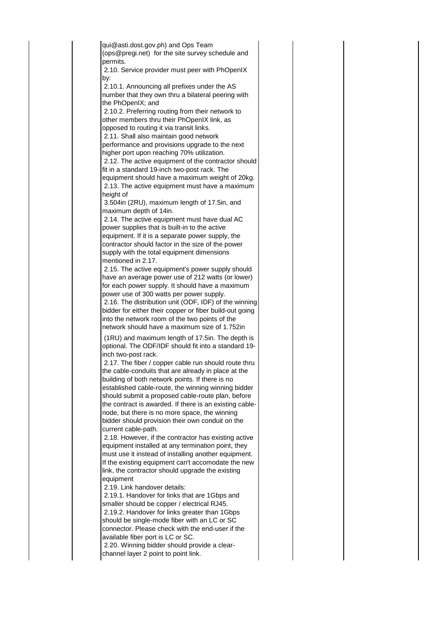qui@asti.dost.gov.ph) and Ops Team (ops@pregi.net) for the site survey schedule and permits. 2.10. Service provider must peer with PhOpenIX by: 2.10.1. Announcing all prefixes under the AS number that they own thru a bilateral peering with the PhOpenIX; and 2.10.2. Preferring routing from their network to other members thru their PhOpenIX link, as opposed to routing it via transit links. 2.11. Shall also maintain good network performance and provisions upgrade to the next higher port upon reaching 70% utilization. 2.12. The active equipment of the contractor should fit in a standard 19-inch two-post rack. The equipment should have a maximum weight of 20kg. 2.13. The active equipment must have a maximum height of 3.504in (2RU), maximum length of 17.5in, and maximum depth of 14in. 2.14. The active equipment must have dual AC power supplies that is built-in to the active equipment. If it is a separate power supply, the contractor should factor in the size of the power supply with the total equipment dimensions mentioned in 2.17. 2.15. The active equipment's power supply should have an average power use of 212 watts (or lower) for each power supply. It should have a maximum power use of 300 watts per power supply. 2.16. The distribution unit (ODF, IDF) of the winning bidder for either their copper or fiber build-out going into the network room of the two points of the network should have a maximum size of 1.752in (1RU) and maximum length of 17.5in. The depth is optional. The ODF/IDF should fit into a standard 19 inch two-post rack. 2.17. The fiber / copper cable run should route thru the cable-conduits that are already in place at the building of both network points. If there is no established cable-route, the winning winning bidder should submit a proposed cable-route plan, before the contract is awarded. If there is an existing cablenode, but there is no more space, the winning bidder should provision their own conduit on the current cable-path. 2.18. However, if the contractor has existing active equipment installed at any termination point, they must use it instead of installing another equipment. If the existing equipment can't accomodate the new link, the contractor should upgrade the existing equipment 2.19. Link handover details: 2.19.1. Handover for links that are 1Gbps and smaller should be copper / electrical RJ45. 2.19.2. Handover for links greater than 1Gbps should be single-mode fiber with an LC or SC connector. Please check with the end-user if the available fiber port is LC or SC. 2.20. Winning bidder should provide a clearchannel layer 2 point to point link.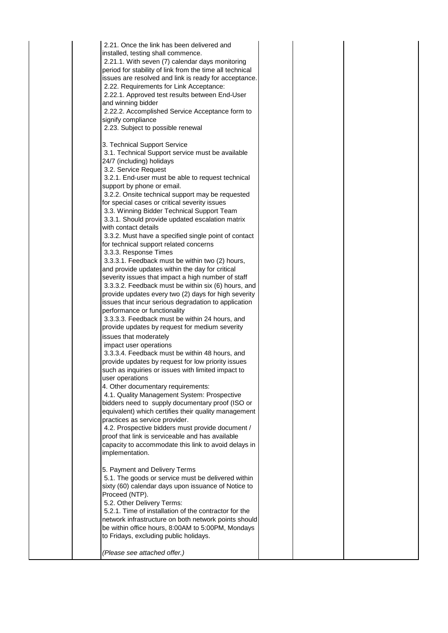| 2.21. Once the link has been delivered and<br>installed, testing shall commence.<br>2.21.1. With seven (7) calendar days monitoring<br>period for stability of link from the time all technical<br>issues are resolved and link is ready for acceptance.<br>2.22. Requirements for Link Acceptance:<br>2.22.1. Approved test results between End-User<br>and winning bidder<br>2.22.2. Accomplished Service Acceptance form to<br>signify compliance<br>2.23. Subject to possible renewal<br>3. Technical Support Service                                                                                  |  |  |
|------------------------------------------------------------------------------------------------------------------------------------------------------------------------------------------------------------------------------------------------------------------------------------------------------------------------------------------------------------------------------------------------------------------------------------------------------------------------------------------------------------------------------------------------------------------------------------------------------------|--|--|
| 3.1. Technical Support service must be available<br>24/7 (including) holidays<br>3.2. Service Request<br>3.2.1. End-user must be able to request technical<br>support by phone or email.<br>3.2.2. Onsite technical support may be requested<br>for special cases or critical severity issues<br>3.3. Winning Bidder Technical Support Team<br>3.3.1. Should provide updated escalation matrix<br>with contact details<br>3.3.2. Must have a specified single point of contact<br>for technical support related concerns                                                                                   |  |  |
| 3.3.3. Response Times<br>3.3.3.1. Feedback must be within two (2) hours,<br>and provide updates within the day for critical<br>severity issues that impact a high number of staff<br>3.3.3.2. Feedback must be within six (6) hours, and<br>provide updates every two (2) days for high severity<br>issues that incur serious degradation to application<br>performance or functionality<br>3.3.3.3. Feedback must be within 24 hours, and<br>provide updates by request for medium severity<br>issues that moderately                                                                                     |  |  |
| impact user operations<br>3.3.3.4. Feedback must be within 48 hours, and<br>provide updates by request for low priority issues<br>such as inquiries or issues with limited impact to<br>user operations<br>4. Other documentary requirements:<br>4.1. Quality Management System: Prospective<br>bidders need to supply documentary proof (ISO or<br>equivalent) which certifies their quality management<br>practices as service provider.<br>4.2. Prospective bidders must provide document /<br>proof that link is serviceable and has available<br>capacity to accommodate this link to avoid delays in |  |  |
| implementation.<br>5. Payment and Delivery Terms<br>5.1. The goods or service must be delivered within<br>sixty (60) calendar days upon issuance of Notice to<br>Proceed (NTP).<br>5.2. Other Delivery Terms:<br>5.2.1. Time of installation of the contractor for the<br>network infrastructure on both network points should<br>be within office hours, 8:00AM to 5:00PM, Mondays<br>to Fridays, excluding public holidays.<br>(Please see attached offer.)                                                                                                                                              |  |  |